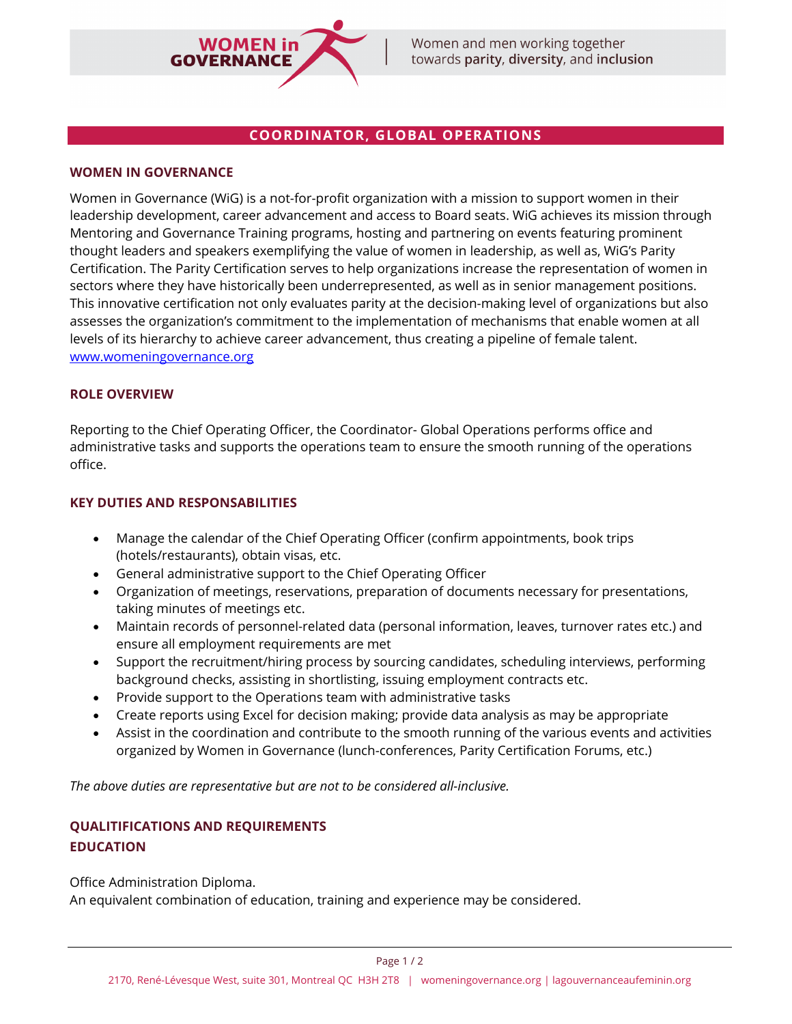

# **COORDINATOR, GLOBAL OPERATIONS**

### **WOMEN IN GOVERNANCE**

Women in Governance (WiG) is a not-for-profit organization with a mission to support women in their leadership development, career advancement and access to Board seats. WiG achieves its mission through Mentoring and Governance Training programs, hosting and partnering on events featuring prominent thought leaders and speakers exemplifying the value of women in leadership, as well as, WiG's Parity Certification. The Parity Certification serves to help organizations increase the representation of women in sectors where they have historically been underrepresented, as well as in senior management positions. This innovative certification not only evaluates parity at the decision-making level of organizations but also assesses the organization's commitment to the implementation of mechanisms that enable women at all levels of its hierarchy to achieve career advancement, thus creating a pipeline of female talent. [www.womeningovernance.org](http://www.womeningovernance.org/)

### **ROLE OVERVIEW**

Reporting to the Chief Operating Officer, the Coordinator- Global Operations performs office and administrative tasks and supports the operations team to ensure the smooth running of the operations office.

### **KEY DUTIES AND RESPONSABILITIES**

- Manage the calendar of the Chief Operating Officer (confirm appointments, book trips (hotels/restaurants), obtain visas, etc.
- General administrative support to the Chief Operating Officer
- Organization of meetings, reservations, preparation of documents necessary for presentations, taking minutes of meetings etc.
- Maintain records of personnel-related data (personal information, leaves, turnover rates etc.) and ensure all employment requirements are met
- Support the recruitment/hiring process by sourcing candidates, scheduling interviews, performing background checks, assisting in shortlisting, issuing employment contracts etc.
- Provide support to the Operations team with administrative tasks
- Create reports using Excel for decision making; provide data analysis as may be appropriate
- Assist in the coordination and contribute to the smooth running of the various events and activities organized by Women in Governance (lunch-conferences, Parity Certification Forums, etc.)

*The above duties are representative but are not to be considered all-inclusive.*

# **QUALITIFICATIONS AND REQUIREMENTS EDUCATION**

Office Administration Diploma.

An equivalent combination of education, training and experience may be considered.